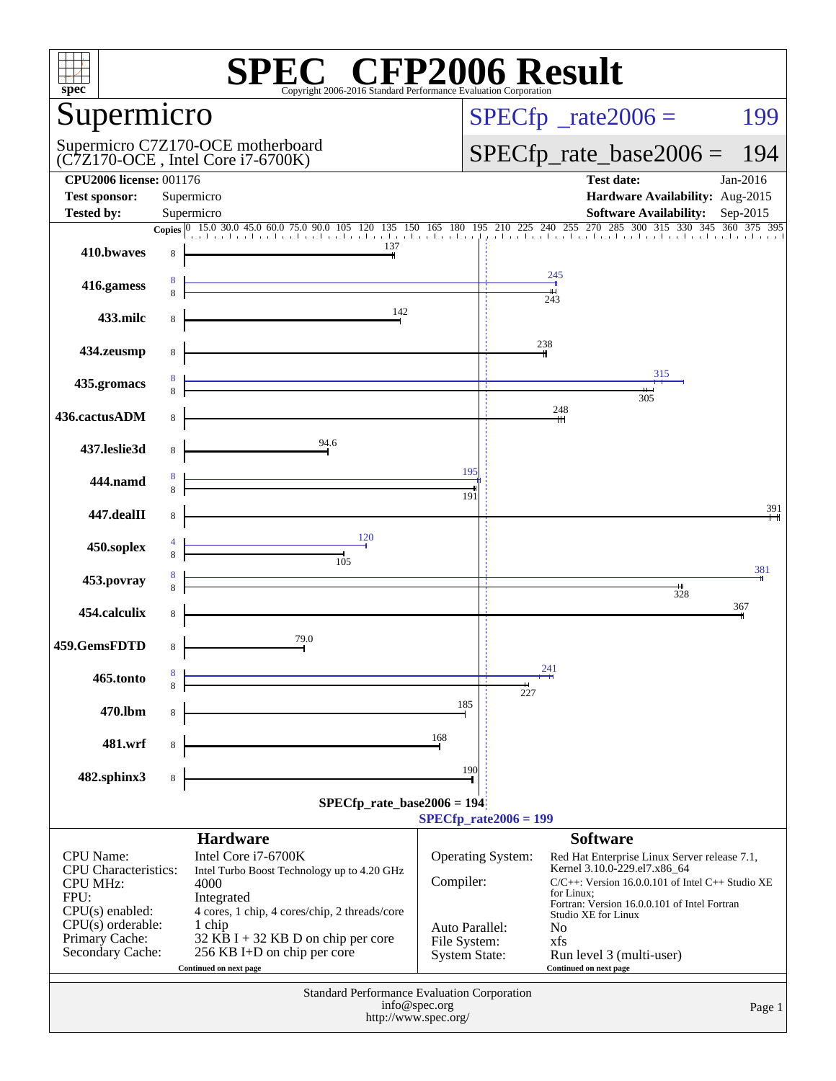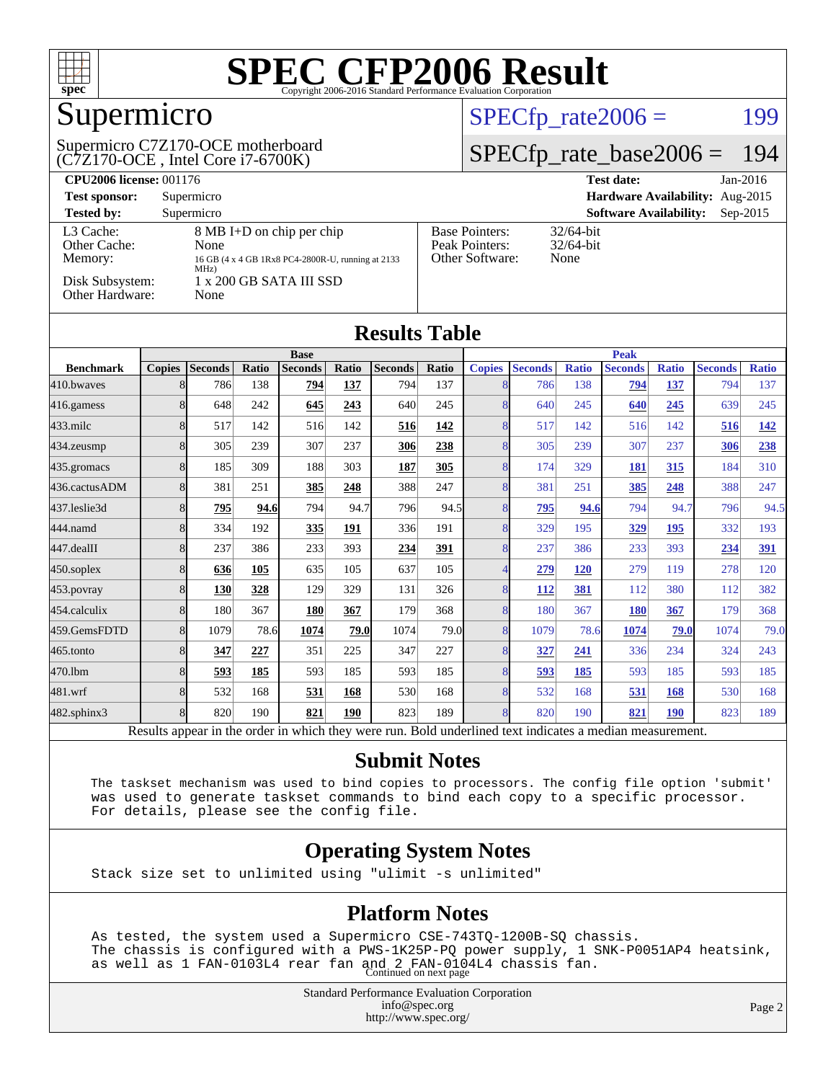

## Supermicro

#### (C7Z170-OCE , Intel Core i7-6700K) Supermicro C7Z170-OCE motherboard

#### $SPECfp_rate2006 = 199$  $SPECfp_rate2006 = 199$

#### [SPECfp\\_rate\\_base2006 =](http://www.spec.org/auto/cpu2006/Docs/result-fields.html#SPECfpratebase2006) 194

| <b>CPU2006 license: 001176</b>       |                                                                                                |                                                            | <b>Test date:</b><br>$Jan-2016$             |
|--------------------------------------|------------------------------------------------------------------------------------------------|------------------------------------------------------------|---------------------------------------------|
| <b>Test sponsor:</b>                 | Supermicro                                                                                     |                                                            | Hardware Availability: Aug-2015             |
| <b>Tested by:</b>                    | Supermicro                                                                                     |                                                            | <b>Software Availability:</b><br>$Sep-2015$ |
| L3 Cache:<br>Other Cache:<br>Memory: | 8 MB I+D on chip per chip<br>None<br>16 GB (4 x 4 GB 1Rx8 PC4-2800R-U, running at 2133<br>MHz) | <b>Base Pointers:</b><br>Peak Pointers:<br>Other Software: | $32/64$ -bit<br>$32/64$ -bit<br>None        |
| Disk Subsystem:<br>Other Hardware:   | $1 \times 200$ GB SATA III SSD<br>None                                                         |                                                            |                                             |

| <b>Results Table</b> |               |                |       |                |       |                |             |               |                |              |                |              |                |              |
|----------------------|---------------|----------------|-------|----------------|-------|----------------|-------------|---------------|----------------|--------------|----------------|--------------|----------------|--------------|
|                      | <b>Base</b>   |                |       |                |       |                | <b>Peak</b> |               |                |              |                |              |                |              |
| <b>Benchmark</b>     | <b>Copies</b> | <b>Seconds</b> | Ratio | <b>Seconds</b> | Ratio | <b>Seconds</b> | Ratio       | <b>Copies</b> | <b>Seconds</b> | <b>Ratio</b> | <b>Seconds</b> | <b>Ratio</b> | <b>Seconds</b> | <b>Ratio</b> |
| 410.bwayes           | $\mathbf{8}$  | 786            | 138   | 794            | 137   | 794            | 137         | 8             | 786            | 138          | 794            | 137          | 794            | 137          |
| 416.gamess           | 8             | 648            | 242   | 645            | 243   | 640            | 245         | 8             | 640            | 245          | 640            | 245          | 639            | 245          |
| $433$ .milc          | 8             | 517            | 142   | 516            | 142   | 516            | 142         | 8             | 517            | 142          | 516            | 142          | 516            | 142          |
| 434.zeusmp           | 8             | 305            | 239   | 307            | 237   | 306            | 238         | 8             | 305            | 239          | 307            | 237          | 306            | 238          |
| 435.gromacs          | 8             | 185            | 309   | 188            | 303   | 187            | 305         | 8             | 174            | 329          | 181            | 315          | 184            | 310          |
| 436.cactusADM        | 8             | 381            | 251   | 385            | 248   | 388            | 247         | 8             | 381            | 251          | 385            | 248          | 388            | 247          |
| 437.leslie3d         | 8             | 795            | 94.6  | 794            | 94.7  | 796            | 94.5        | 8             | 795            | 94.6         | 794            | 94.7         | 796            | 94.5         |
| 444.namd             | 8             | 334            | 192   | 335            | 191   | 336            | 191         | 8             | 329            | 195          | 329            | 195          | 332            | 193          |
| 447.dealII           | 8             | 237            | 386   | 233            | 393   | 234            | <u>391</u>  | 8             | 237            | 386          | 233            | 393          | 234            | 391          |
| $450$ .soplex        | 8             | 636            | 105   | 635            | 105   | 637            | 105         | 4             | <u>279</u>     | <b>120</b>   | 279            | 119          | 278            | 120          |
| 453.povray           | 8             | 130            | 328   | 129            | 329   | 131            | 326         | 8             | <u>112</u>     | 381          | 112            | 380          | 112            | 382          |
| 454.calculix         | 8             | 180            | 367   | 180            | 367   | 179            | 368         | 8             | 180            | 367          | 180            | 367          | 179            | 368          |
| 459.GemsFDTD         | 8             | 1079           | 78.6  | 1074           | 79.0  | 1074           | 79.0        | 8             | 1079           | 78.6         | 1074           | 79.0         | 1074           | 79.0         |
| 465.tonto            | 8             | 347            | 227   | 351            | 225   | 347            | 227         | 8             | 327            | 241          | 336            | 234          | 324            | 243          |
| 470.1bm              | 8             | 593            | 185   | 593            | 185   | 593            | 185         | 8             | 593            | 185          | 593            | 185          | 593            | 185          |
| 481.wrf              | 8             | 532            | 168   | 531            | 168   | 530            | 168         | 8             | 532            | 168          | 531            | 168          | 530            | 168          |
| 482.sphinx3          | 8             | 820            | 190   | 821            | 190   | 823            | 189         | 8             | 820            | 190          | 821            | <b>190</b>   | 823            | 189          |

Results appear in the [order in which they were run.](http://www.spec.org/auto/cpu2006/Docs/result-fields.html#RunOrder) Bold underlined text [indicates a median measurement.](http://www.spec.org/auto/cpu2006/Docs/result-fields.html#Median)

#### **[Submit Notes](http://www.spec.org/auto/cpu2006/Docs/result-fields.html#SubmitNotes)**

 The taskset mechanism was used to bind copies to processors. The config file option 'submit' was used to generate taskset commands to bind each copy to a specific processor. For details, please see the config file.

#### **[Operating System Notes](http://www.spec.org/auto/cpu2006/Docs/result-fields.html#OperatingSystemNotes)**

Stack size set to unlimited using "ulimit -s unlimited"

#### **[Platform Notes](http://www.spec.org/auto/cpu2006/Docs/result-fields.html#PlatformNotes)**

 As tested, the system used a Supermicro CSE-743TQ-1200B-SQ chassis. The chassis is configured with a PWS-1K25P-PQ power supply, 1 SNK-P0051AP4 heatsink, as well as 1 FAN-0103L4 rear fan and 2 FAN-0104L4 chassis fan. Continued on next page

> Standard Performance Evaluation Corporation [info@spec.org](mailto:info@spec.org) <http://www.spec.org/>

Page 2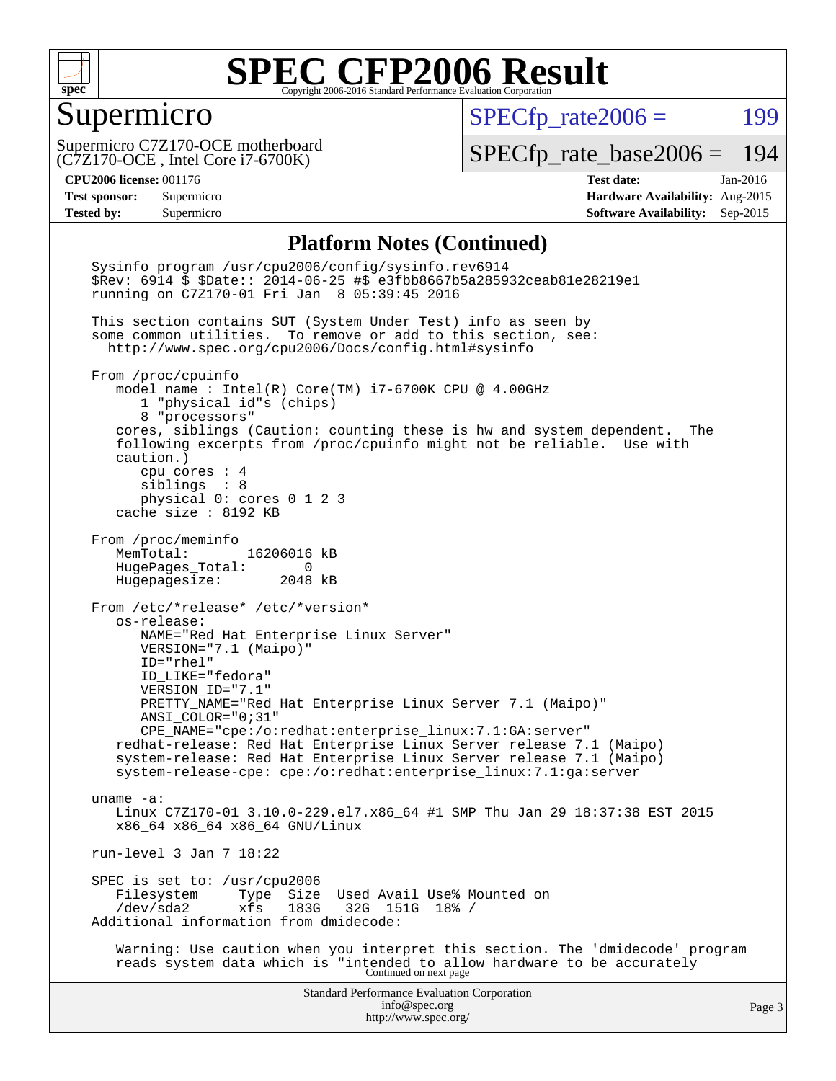

#### Supermicro

 $SPECfp_rate2006 =$  199

(C7Z170-OCE , Intel Core i7-6700K) Supermicro C7Z170-OCE motherboard

[SPECfp\\_rate\\_base2006 =](http://www.spec.org/auto/cpu2006/Docs/result-fields.html#SPECfpratebase2006) 194

**[CPU2006 license:](http://www.spec.org/auto/cpu2006/Docs/result-fields.html#CPU2006license)** 001176 **[Test date:](http://www.spec.org/auto/cpu2006/Docs/result-fields.html#Testdate)** Jan-2016 **[Test sponsor:](http://www.spec.org/auto/cpu2006/Docs/result-fields.html#Testsponsor)** Supermicro **[Hardware Availability:](http://www.spec.org/auto/cpu2006/Docs/result-fields.html#HardwareAvailability)** Aug-2015 **[Tested by:](http://www.spec.org/auto/cpu2006/Docs/result-fields.html#Testedby)** Supermicro **Supermicro [Software Availability:](http://www.spec.org/auto/cpu2006/Docs/result-fields.html#SoftwareAvailability)** Sep-2015

#### **[Platform Notes \(Continued\)](http://www.spec.org/auto/cpu2006/Docs/result-fields.html#PlatformNotes)**

Standard Performance Evaluation Corporation [info@spec.org](mailto:info@spec.org) <http://www.spec.org/> Page 3 Sysinfo program /usr/cpu2006/config/sysinfo.rev6914 \$Rev: 6914 \$ \$Date:: 2014-06-25 #\$ e3fbb8667b5a285932ceab81e28219e1 running on C7Z170-01 Fri Jan 8 05:39:45 2016 This section contains SUT (System Under Test) info as seen by some common utilities. To remove or add to this section, see: <http://www.spec.org/cpu2006/Docs/config.html#sysinfo> From /proc/cpuinfo model name : Intel(R) Core(TM) i7-6700K CPU @ 4.00GHz 1 "physical id"s (chips) 8 "processors" cores, siblings (Caution: counting these is hw and system dependent. The following excerpts from /proc/cpuinfo might not be reliable. Use with caution.) cpu cores : 4 siblings : 8 physical 0: cores 0 1 2 3 cache size : 8192 KB From /proc/meminfo MemTotal: 16206016 kB HugePages\_Total: 0 Hugepagesize: 2048 kB From /etc/\*release\* /etc/\*version\* os-release: NAME="Red Hat Enterprise Linux Server" VERSION="7.1 (Maipo)" ID="rhel" ID\_LIKE="fedora" VERSION\_ID="7.1" PRETTY\_NAME="Red Hat Enterprise Linux Server 7.1 (Maipo)" ANSI\_COLOR="0;31" CPE\_NAME="cpe:/o:redhat:enterprise\_linux:7.1:GA:server" redhat-release: Red Hat Enterprise Linux Server release 7.1 (Maipo) system-release: Red Hat Enterprise Linux Server release 7.1 (Maipo) system-release-cpe: cpe:/o:redhat:enterprise\_linux:7.1:ga:server uname -a: Linux C7Z170-01 3.10.0-229.el7.x86\_64 #1 SMP Thu Jan 29 18:37:38 EST 2015 x86\_64 x86\_64 x86\_64 GNU/Linux run-level 3 Jan 7 18:22 SPEC is set to: /usr/cpu2006<br>Filesystem Type Size Type Size Used Avail Use% Mounted on<br>xfs 183G 32G 151G 18% / /dev/sda2 xfs 183G 32G 151G 18% / Additional information from dmidecode: Warning: Use caution when you interpret this section. The 'dmidecode' program reads system data which is "intended to allow hardware to be accurately Continued on next page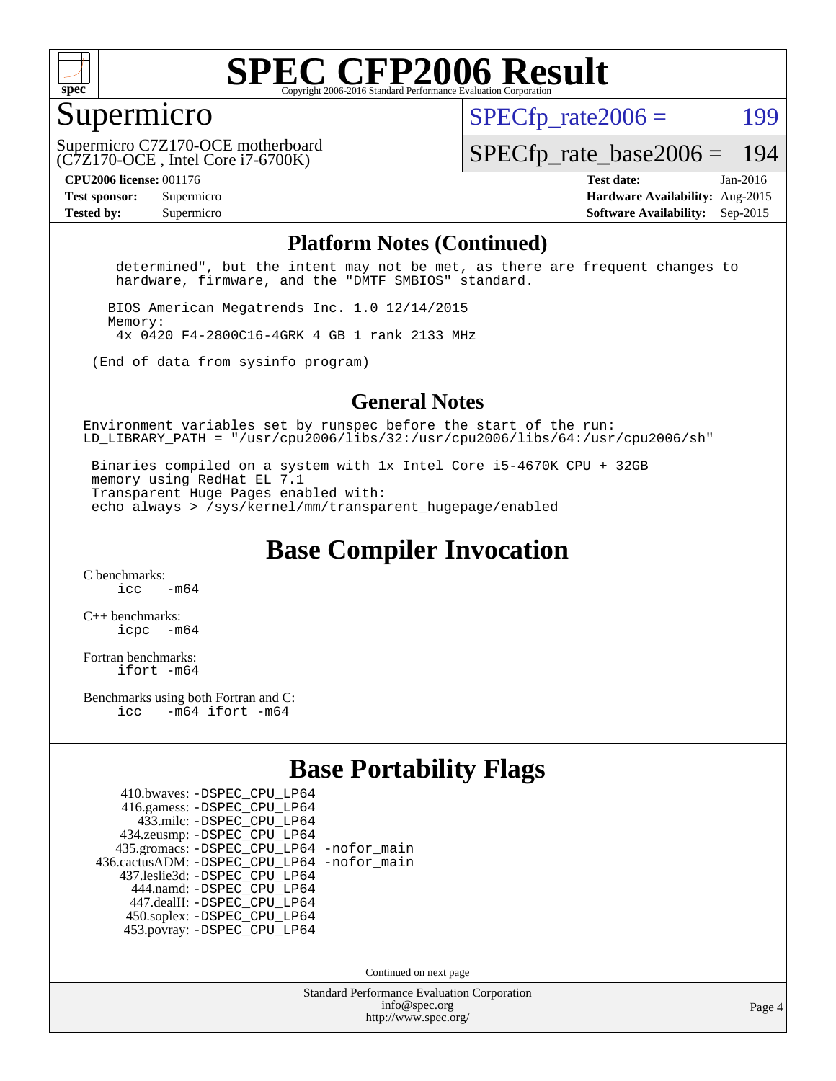

#### Supermicro

 $SPECTp\_rate2006 = 199$ 

(C7Z170-OCE , Intel Core i7-6700K) Supermicro C7Z170-OCE motherboard

[SPECfp\\_rate\\_base2006 =](http://www.spec.org/auto/cpu2006/Docs/result-fields.html#SPECfpratebase2006) 194

**[CPU2006 license:](http://www.spec.org/auto/cpu2006/Docs/result-fields.html#CPU2006license)** 001176 **[Test date:](http://www.spec.org/auto/cpu2006/Docs/result-fields.html#Testdate)** Jan-2016

**[Test sponsor:](http://www.spec.org/auto/cpu2006/Docs/result-fields.html#Testsponsor)** Supermicro **[Hardware Availability:](http://www.spec.org/auto/cpu2006/Docs/result-fields.html#HardwareAvailability)** Aug-2015 **[Tested by:](http://www.spec.org/auto/cpu2006/Docs/result-fields.html#Testedby)** Supermicro **Supermicro [Software Availability:](http://www.spec.org/auto/cpu2006/Docs/result-fields.html#SoftwareAvailability)** Sep-2015

#### **[Platform Notes \(Continued\)](http://www.spec.org/auto/cpu2006/Docs/result-fields.html#PlatformNotes)**

 determined", but the intent may not be met, as there are frequent changes to hardware, firmware, and the "DMTF SMBIOS" standard.

 BIOS American Megatrends Inc. 1.0 12/14/2015 Memory: 4x 0420 F4-2800C16-4GRK 4 GB 1 rank 2133 MHz

(End of data from sysinfo program)

#### **[General Notes](http://www.spec.org/auto/cpu2006/Docs/result-fields.html#GeneralNotes)**

Environment variables set by runspec before the start of the run: LD LIBRARY PATH = "/usr/cpu2006/libs/32:/usr/cpu2006/libs/64:/usr/cpu2006/sh"

 Binaries compiled on a system with 1x Intel Core i5-4670K CPU + 32GB memory using RedHat EL 7.1 Transparent Huge Pages enabled with: echo always > /sys/kernel/mm/transparent\_hugepage/enabled

**[Base Compiler Invocation](http://www.spec.org/auto/cpu2006/Docs/result-fields.html#BaseCompilerInvocation)**

[C benchmarks](http://www.spec.org/auto/cpu2006/Docs/result-fields.html#Cbenchmarks):  $\frac{1}{2}$  cc  $-$  m64

[C++ benchmarks:](http://www.spec.org/auto/cpu2006/Docs/result-fields.html#CXXbenchmarks) [icpc -m64](http://www.spec.org/cpu2006/results/res2016q1/cpu2006-20160108-38633.flags.html#user_CXXbase_intel_icpc_64bit_bedb90c1146cab66620883ef4f41a67e)

[Fortran benchmarks](http://www.spec.org/auto/cpu2006/Docs/result-fields.html#Fortranbenchmarks): [ifort -m64](http://www.spec.org/cpu2006/results/res2016q1/cpu2006-20160108-38633.flags.html#user_FCbase_intel_ifort_64bit_ee9d0fb25645d0210d97eb0527dcc06e)

[Benchmarks using both Fortran and C](http://www.spec.org/auto/cpu2006/Docs/result-fields.html#BenchmarksusingbothFortranandC): [icc -m64](http://www.spec.org/cpu2006/results/res2016q1/cpu2006-20160108-38633.flags.html#user_CC_FCbase_intel_icc_64bit_0b7121f5ab7cfabee23d88897260401c) [ifort -m64](http://www.spec.org/cpu2006/results/res2016q1/cpu2006-20160108-38633.flags.html#user_CC_FCbase_intel_ifort_64bit_ee9d0fb25645d0210d97eb0527dcc06e)

#### **[Base Portability Flags](http://www.spec.org/auto/cpu2006/Docs/result-fields.html#BasePortabilityFlags)**

| 410.bwaves: - DSPEC CPU LP64                 |  |
|----------------------------------------------|--|
| 416.gamess: -DSPEC_CPU_LP64                  |  |
| 433.milc: -DSPEC CPU LP64                    |  |
| 434.zeusmp: -DSPEC_CPU_LP64                  |  |
| 435.gromacs: -DSPEC_CPU_LP64 -nofor_main     |  |
| 436.cactusADM: - DSPEC CPU LP64 - nofor main |  |
| 437.leslie3d: -DSPEC_CPU_LP64                |  |
| 444.namd: - DSPEC CPU LP64                   |  |
| 447.dealII: -DSPEC CPU LP64                  |  |
| 450.soplex: -DSPEC_CPU_LP64                  |  |
| 453.povray: -DSPEC CPU LP64                  |  |

Continued on next page

Standard Performance Evaluation Corporation [info@spec.org](mailto:info@spec.org) <http://www.spec.org/>

Page 4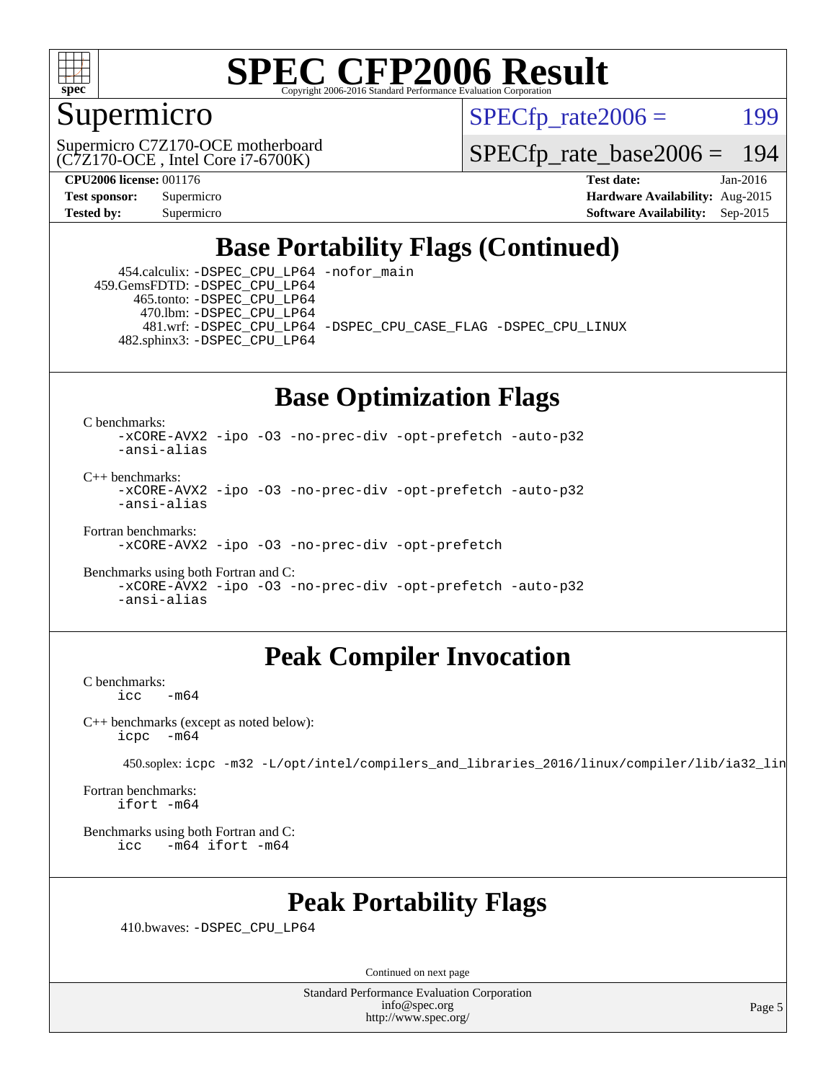

### Supermicro

 $SPECTp\_rate2006 = 199$ 

(C7Z170-OCE , Intel Core i7-6700K) Supermicro C7Z170-OCE motherboard

[SPECfp\\_rate\\_base2006 =](http://www.spec.org/auto/cpu2006/Docs/result-fields.html#SPECfpratebase2006) 194

**[CPU2006 license:](http://www.spec.org/auto/cpu2006/Docs/result-fields.html#CPU2006license)** 001176 **[Test date:](http://www.spec.org/auto/cpu2006/Docs/result-fields.html#Testdate)** Jan-2016 **[Test sponsor:](http://www.spec.org/auto/cpu2006/Docs/result-fields.html#Testsponsor)** Supermicro **[Hardware Availability:](http://www.spec.org/auto/cpu2006/Docs/result-fields.html#HardwareAvailability)** Aug-2015 **[Tested by:](http://www.spec.org/auto/cpu2006/Docs/result-fields.html#Testedby)** Supermicro **Supermicro [Software Availability:](http://www.spec.org/auto/cpu2006/Docs/result-fields.html#SoftwareAvailability)** Sep-2015

### **[Base Portability Flags \(Continued\)](http://www.spec.org/auto/cpu2006/Docs/result-fields.html#BasePortabilityFlags)**

 454.calculix: [-DSPEC\\_CPU\\_LP64](http://www.spec.org/cpu2006/results/res2016q1/cpu2006-20160108-38633.flags.html#suite_basePORTABILITY454_calculix_DSPEC_CPU_LP64) [-nofor\\_main](http://www.spec.org/cpu2006/results/res2016q1/cpu2006-20160108-38633.flags.html#user_baseLDPORTABILITY454_calculix_f-nofor_main) 459.GemsFDTD: [-DSPEC\\_CPU\\_LP64](http://www.spec.org/cpu2006/results/res2016q1/cpu2006-20160108-38633.flags.html#suite_basePORTABILITY459_GemsFDTD_DSPEC_CPU_LP64) 465.tonto: [-DSPEC\\_CPU\\_LP64](http://www.spec.org/cpu2006/results/res2016q1/cpu2006-20160108-38633.flags.html#suite_basePORTABILITY465_tonto_DSPEC_CPU_LP64) 470.lbm: [-DSPEC\\_CPU\\_LP64](http://www.spec.org/cpu2006/results/res2016q1/cpu2006-20160108-38633.flags.html#suite_basePORTABILITY470_lbm_DSPEC_CPU_LP64) 481.wrf: [-DSPEC\\_CPU\\_LP64](http://www.spec.org/cpu2006/results/res2016q1/cpu2006-20160108-38633.flags.html#suite_basePORTABILITY481_wrf_DSPEC_CPU_LP64) [-DSPEC\\_CPU\\_CASE\\_FLAG](http://www.spec.org/cpu2006/results/res2016q1/cpu2006-20160108-38633.flags.html#b481.wrf_baseCPORTABILITY_DSPEC_CPU_CASE_FLAG) [-DSPEC\\_CPU\\_LINUX](http://www.spec.org/cpu2006/results/res2016q1/cpu2006-20160108-38633.flags.html#b481.wrf_baseCPORTABILITY_DSPEC_CPU_LINUX) 482.sphinx3: [-DSPEC\\_CPU\\_LP64](http://www.spec.org/cpu2006/results/res2016q1/cpu2006-20160108-38633.flags.html#suite_basePORTABILITY482_sphinx3_DSPEC_CPU_LP64)

### **[Base Optimization Flags](http://www.spec.org/auto/cpu2006/Docs/result-fields.html#BaseOptimizationFlags)**

[C benchmarks](http://www.spec.org/auto/cpu2006/Docs/result-fields.html#Cbenchmarks):

[-xCORE-AVX2](http://www.spec.org/cpu2006/results/res2016q1/cpu2006-20160108-38633.flags.html#user_CCbase_f-xAVX2_5f5fc0cbe2c9f62c816d3e45806c70d7) [-ipo](http://www.spec.org/cpu2006/results/res2016q1/cpu2006-20160108-38633.flags.html#user_CCbase_f-ipo) [-O3](http://www.spec.org/cpu2006/results/res2016q1/cpu2006-20160108-38633.flags.html#user_CCbase_f-O3) [-no-prec-div](http://www.spec.org/cpu2006/results/res2016q1/cpu2006-20160108-38633.flags.html#user_CCbase_f-no-prec-div) [-opt-prefetch](http://www.spec.org/cpu2006/results/res2016q1/cpu2006-20160108-38633.flags.html#user_CCbase_f-opt-prefetch) [-auto-p32](http://www.spec.org/cpu2006/results/res2016q1/cpu2006-20160108-38633.flags.html#user_CCbase_f-auto-p32) [-ansi-alias](http://www.spec.org/cpu2006/results/res2016q1/cpu2006-20160108-38633.flags.html#user_CCbase_f-ansi-alias)

 $C_{++}$  benchmarks: [-xCORE-AVX2](http://www.spec.org/cpu2006/results/res2016q1/cpu2006-20160108-38633.flags.html#user_CXXbase_f-xAVX2_5f5fc0cbe2c9f62c816d3e45806c70d7) [-ipo](http://www.spec.org/cpu2006/results/res2016q1/cpu2006-20160108-38633.flags.html#user_CXXbase_f-ipo) [-O3](http://www.spec.org/cpu2006/results/res2016q1/cpu2006-20160108-38633.flags.html#user_CXXbase_f-O3) [-no-prec-div](http://www.spec.org/cpu2006/results/res2016q1/cpu2006-20160108-38633.flags.html#user_CXXbase_f-no-prec-div) [-opt-prefetch](http://www.spec.org/cpu2006/results/res2016q1/cpu2006-20160108-38633.flags.html#user_CXXbase_f-opt-prefetch) [-auto-p32](http://www.spec.org/cpu2006/results/res2016q1/cpu2006-20160108-38633.flags.html#user_CXXbase_f-auto-p32) [-ansi-alias](http://www.spec.org/cpu2006/results/res2016q1/cpu2006-20160108-38633.flags.html#user_CXXbase_f-ansi-alias)

[Fortran benchmarks](http://www.spec.org/auto/cpu2006/Docs/result-fields.html#Fortranbenchmarks):

[-xCORE-AVX2](http://www.spec.org/cpu2006/results/res2016q1/cpu2006-20160108-38633.flags.html#user_FCbase_f-xAVX2_5f5fc0cbe2c9f62c816d3e45806c70d7) [-ipo](http://www.spec.org/cpu2006/results/res2016q1/cpu2006-20160108-38633.flags.html#user_FCbase_f-ipo) [-O3](http://www.spec.org/cpu2006/results/res2016q1/cpu2006-20160108-38633.flags.html#user_FCbase_f-O3) [-no-prec-div](http://www.spec.org/cpu2006/results/res2016q1/cpu2006-20160108-38633.flags.html#user_FCbase_f-no-prec-div) [-opt-prefetch](http://www.spec.org/cpu2006/results/res2016q1/cpu2006-20160108-38633.flags.html#user_FCbase_f-opt-prefetch)

[Benchmarks using both Fortran and C](http://www.spec.org/auto/cpu2006/Docs/result-fields.html#BenchmarksusingbothFortranandC): [-xCORE-AVX2](http://www.spec.org/cpu2006/results/res2016q1/cpu2006-20160108-38633.flags.html#user_CC_FCbase_f-xAVX2_5f5fc0cbe2c9f62c816d3e45806c70d7) [-ipo](http://www.spec.org/cpu2006/results/res2016q1/cpu2006-20160108-38633.flags.html#user_CC_FCbase_f-ipo) [-O3](http://www.spec.org/cpu2006/results/res2016q1/cpu2006-20160108-38633.flags.html#user_CC_FCbase_f-O3) [-no-prec-div](http://www.spec.org/cpu2006/results/res2016q1/cpu2006-20160108-38633.flags.html#user_CC_FCbase_f-no-prec-div) [-opt-prefetch](http://www.spec.org/cpu2006/results/res2016q1/cpu2006-20160108-38633.flags.html#user_CC_FCbase_f-opt-prefetch) [-auto-p32](http://www.spec.org/cpu2006/results/res2016q1/cpu2006-20160108-38633.flags.html#user_CC_FCbase_f-auto-p32) [-ansi-alias](http://www.spec.org/cpu2006/results/res2016q1/cpu2006-20160108-38633.flags.html#user_CC_FCbase_f-ansi-alias)

### **[Peak Compiler Invocation](http://www.spec.org/auto/cpu2006/Docs/result-fields.html#PeakCompilerInvocation)**

[C benchmarks](http://www.spec.org/auto/cpu2006/Docs/result-fields.html#Cbenchmarks):  $-m64$ 

[C++ benchmarks \(except as noted below\):](http://www.spec.org/auto/cpu2006/Docs/result-fields.html#CXXbenchmarksexceptasnotedbelow) [icpc -m64](http://www.spec.org/cpu2006/results/res2016q1/cpu2006-20160108-38633.flags.html#user_CXXpeak_intel_icpc_64bit_bedb90c1146cab66620883ef4f41a67e)

450.soplex: [icpc -m32 -L/opt/intel/compilers\\_and\\_libraries\\_2016/linux/compiler/lib/ia32\\_lin](http://www.spec.org/cpu2006/results/res2016q1/cpu2006-20160108-38633.flags.html#user_peakCXXLD450_soplex_intel_icpc_b4f50a394bdb4597aa5879c16bc3f5c5)

[Fortran benchmarks](http://www.spec.org/auto/cpu2006/Docs/result-fields.html#Fortranbenchmarks): [ifort -m64](http://www.spec.org/cpu2006/results/res2016q1/cpu2006-20160108-38633.flags.html#user_FCpeak_intel_ifort_64bit_ee9d0fb25645d0210d97eb0527dcc06e)

[Benchmarks using both Fortran and C](http://www.spec.org/auto/cpu2006/Docs/result-fields.html#BenchmarksusingbothFortranandC): [icc -m64](http://www.spec.org/cpu2006/results/res2016q1/cpu2006-20160108-38633.flags.html#user_CC_FCpeak_intel_icc_64bit_0b7121f5ab7cfabee23d88897260401c) [ifort -m64](http://www.spec.org/cpu2006/results/res2016q1/cpu2006-20160108-38633.flags.html#user_CC_FCpeak_intel_ifort_64bit_ee9d0fb25645d0210d97eb0527dcc06e)

### **[Peak Portability Flags](http://www.spec.org/auto/cpu2006/Docs/result-fields.html#PeakPortabilityFlags)**

410.bwaves: [-DSPEC\\_CPU\\_LP64](http://www.spec.org/cpu2006/results/res2016q1/cpu2006-20160108-38633.flags.html#suite_peakPORTABILITY410_bwaves_DSPEC_CPU_LP64)

Continued on next page

Standard Performance Evaluation Corporation [info@spec.org](mailto:info@spec.org) <http://www.spec.org/>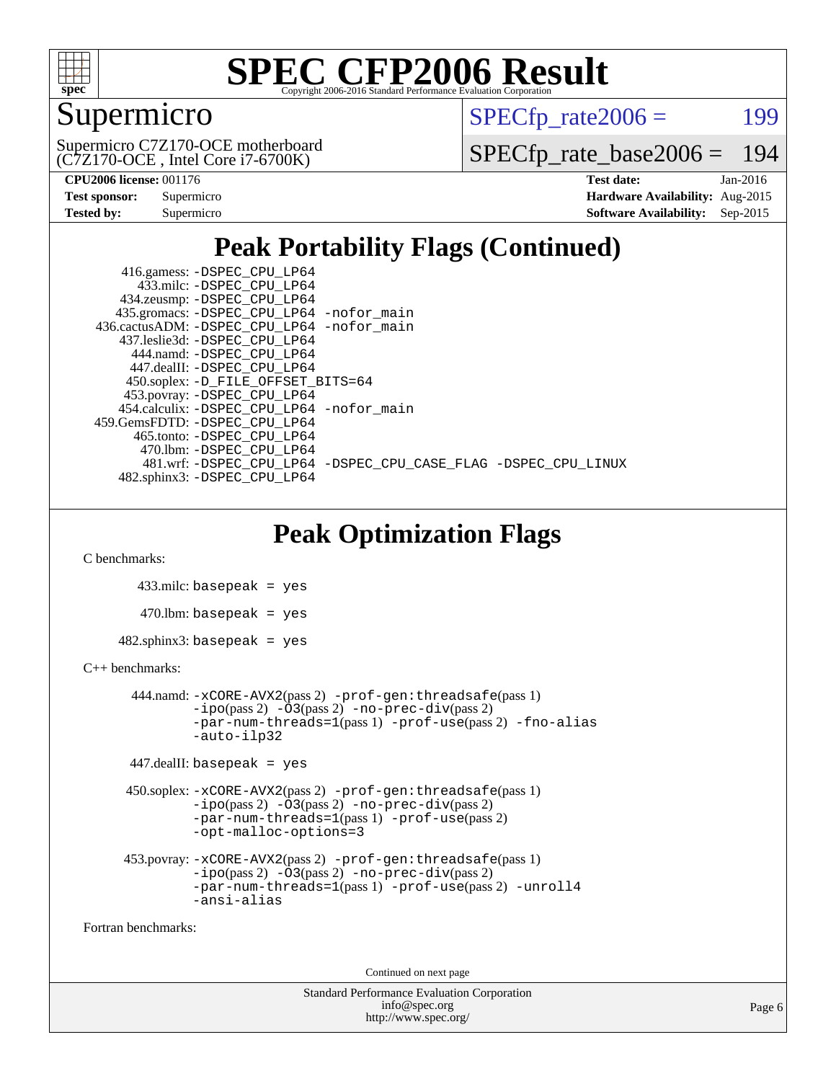

### Supermicro

 $SPECTp\_rate2006 = 199$ 

(C7Z170-OCE , Intel Core i7-6700K) Supermicro C7Z170-OCE motherboard [SPECfp\\_rate\\_base2006 =](http://www.spec.org/auto/cpu2006/Docs/result-fields.html#SPECfpratebase2006) 194

| <b>Test sponsor:</b> | Supermicro |
|----------------------|------------|
| <b>Tested by:</b>    | Supermicro |

**[CPU2006 license:](http://www.spec.org/auto/cpu2006/Docs/result-fields.html#CPU2006license)** 001176 **[Test date:](http://www.spec.org/auto/cpu2006/Docs/result-fields.html#Testdate)** Jan-2016 **[Hardware Availability:](http://www.spec.org/auto/cpu2006/Docs/result-fields.html#HardwareAvailability)** Aug-2015 **[Software Availability:](http://www.spec.org/auto/cpu2006/Docs/result-fields.html#SoftwareAvailability)** Sep-2015

### **[Peak Portability Flags \(Continued\)](http://www.spec.org/auto/cpu2006/Docs/result-fields.html#PeakPortabilityFlags)**

 416.gamess: [-DSPEC\\_CPU\\_LP64](http://www.spec.org/cpu2006/results/res2016q1/cpu2006-20160108-38633.flags.html#suite_peakPORTABILITY416_gamess_DSPEC_CPU_LP64) 433.milc: [-DSPEC\\_CPU\\_LP64](http://www.spec.org/cpu2006/results/res2016q1/cpu2006-20160108-38633.flags.html#suite_peakPORTABILITY433_milc_DSPEC_CPU_LP64) 434.zeusmp: [-DSPEC\\_CPU\\_LP64](http://www.spec.org/cpu2006/results/res2016q1/cpu2006-20160108-38633.flags.html#suite_peakPORTABILITY434_zeusmp_DSPEC_CPU_LP64) 435.gromacs: [-DSPEC\\_CPU\\_LP64](http://www.spec.org/cpu2006/results/res2016q1/cpu2006-20160108-38633.flags.html#suite_peakPORTABILITY435_gromacs_DSPEC_CPU_LP64) [-nofor\\_main](http://www.spec.org/cpu2006/results/res2016q1/cpu2006-20160108-38633.flags.html#user_peakLDPORTABILITY435_gromacs_f-nofor_main) 436.cactusADM: [-DSPEC\\_CPU\\_LP64](http://www.spec.org/cpu2006/results/res2016q1/cpu2006-20160108-38633.flags.html#suite_peakPORTABILITY436_cactusADM_DSPEC_CPU_LP64) [-nofor\\_main](http://www.spec.org/cpu2006/results/res2016q1/cpu2006-20160108-38633.flags.html#user_peakLDPORTABILITY436_cactusADM_f-nofor_main) 437.leslie3d: [-DSPEC\\_CPU\\_LP64](http://www.spec.org/cpu2006/results/res2016q1/cpu2006-20160108-38633.flags.html#suite_peakPORTABILITY437_leslie3d_DSPEC_CPU_LP64) 444.namd: [-DSPEC\\_CPU\\_LP64](http://www.spec.org/cpu2006/results/res2016q1/cpu2006-20160108-38633.flags.html#suite_peakPORTABILITY444_namd_DSPEC_CPU_LP64) 447.dealII: [-DSPEC\\_CPU\\_LP64](http://www.spec.org/cpu2006/results/res2016q1/cpu2006-20160108-38633.flags.html#suite_peakPORTABILITY447_dealII_DSPEC_CPU_LP64) 450.soplex: [-D\\_FILE\\_OFFSET\\_BITS=64](http://www.spec.org/cpu2006/results/res2016q1/cpu2006-20160108-38633.flags.html#user_peakPORTABILITY450_soplex_file_offset_bits_64_438cf9856305ebd76870a2c6dc2689ab) 453.povray: [-DSPEC\\_CPU\\_LP64](http://www.spec.org/cpu2006/results/res2016q1/cpu2006-20160108-38633.flags.html#suite_peakPORTABILITY453_povray_DSPEC_CPU_LP64) 454.calculix: [-DSPEC\\_CPU\\_LP64](http://www.spec.org/cpu2006/results/res2016q1/cpu2006-20160108-38633.flags.html#suite_peakPORTABILITY454_calculix_DSPEC_CPU_LP64) [-nofor\\_main](http://www.spec.org/cpu2006/results/res2016q1/cpu2006-20160108-38633.flags.html#user_peakLDPORTABILITY454_calculix_f-nofor_main) 459.GemsFDTD: [-DSPEC\\_CPU\\_LP64](http://www.spec.org/cpu2006/results/res2016q1/cpu2006-20160108-38633.flags.html#suite_peakPORTABILITY459_GemsFDTD_DSPEC_CPU_LP64) 465.tonto: [-DSPEC\\_CPU\\_LP64](http://www.spec.org/cpu2006/results/res2016q1/cpu2006-20160108-38633.flags.html#suite_peakPORTABILITY465_tonto_DSPEC_CPU_LP64) 470.lbm: [-DSPEC\\_CPU\\_LP64](http://www.spec.org/cpu2006/results/res2016q1/cpu2006-20160108-38633.flags.html#suite_peakPORTABILITY470_lbm_DSPEC_CPU_LP64) 481.wrf: [-DSPEC\\_CPU\\_LP64](http://www.spec.org/cpu2006/results/res2016q1/cpu2006-20160108-38633.flags.html#suite_peakPORTABILITY481_wrf_DSPEC_CPU_LP64) [-DSPEC\\_CPU\\_CASE\\_FLAG](http://www.spec.org/cpu2006/results/res2016q1/cpu2006-20160108-38633.flags.html#b481.wrf_peakCPORTABILITY_DSPEC_CPU_CASE_FLAG) [-DSPEC\\_CPU\\_LINUX](http://www.spec.org/cpu2006/results/res2016q1/cpu2006-20160108-38633.flags.html#b481.wrf_peakCPORTABILITY_DSPEC_CPU_LINUX) 482.sphinx3: [-DSPEC\\_CPU\\_LP64](http://www.spec.org/cpu2006/results/res2016q1/cpu2006-20160108-38633.flags.html#suite_peakPORTABILITY482_sphinx3_DSPEC_CPU_LP64)

### **[Peak Optimization Flags](http://www.spec.org/auto/cpu2006/Docs/result-fields.html#PeakOptimizationFlags)**

[C benchmarks](http://www.spec.org/auto/cpu2006/Docs/result-fields.html#Cbenchmarks):

 433.milc: basepeak = yes  $470$ .lbm: basepeak = yes  $482$ .sphinx $3$ : basepeak = yes

#### [C++ benchmarks:](http://www.spec.org/auto/cpu2006/Docs/result-fields.html#CXXbenchmarks)

```
 444.namd: -xCORE-AVX2(pass 2) -prof-gen:threadsafe(pass 1)
       -no-prec-div(pass 2)-par-num-threads=1(pass 1) -prof-use(pass 2) -fno-alias
       -auto-ilp32
```

```
 447.dealII: basepeak = yes
```

```
 450.soplex: -xCORE-AVX2(pass 2) -prof-gen:threadsafe(pass 1)
          -i\text{po}(pass 2) -\overline{O}3(pass 2)-no-prec-div(pass 2)
          -par-num-threads=1(pass 1) -prof-use(pass 2)
          -opt-malloc-options=3
```

```
 453.povray: -xCORE-AVX2(pass 2) -prof-gen:threadsafe(pass 1)
          -i\text{po}(pass 2) -\tilde{O}3(pass 2)-no-prec-div(pass 2)
          -par-num-threads=1(pass 1) -prof-use(pass 2) -unroll4
          -ansi-alias
```
[Fortran benchmarks](http://www.spec.org/auto/cpu2006/Docs/result-fields.html#Fortranbenchmarks):

Continued on next page

```
Standard Performance Evaluation Corporation
              info@spec.org
           http://www.spec.org/
```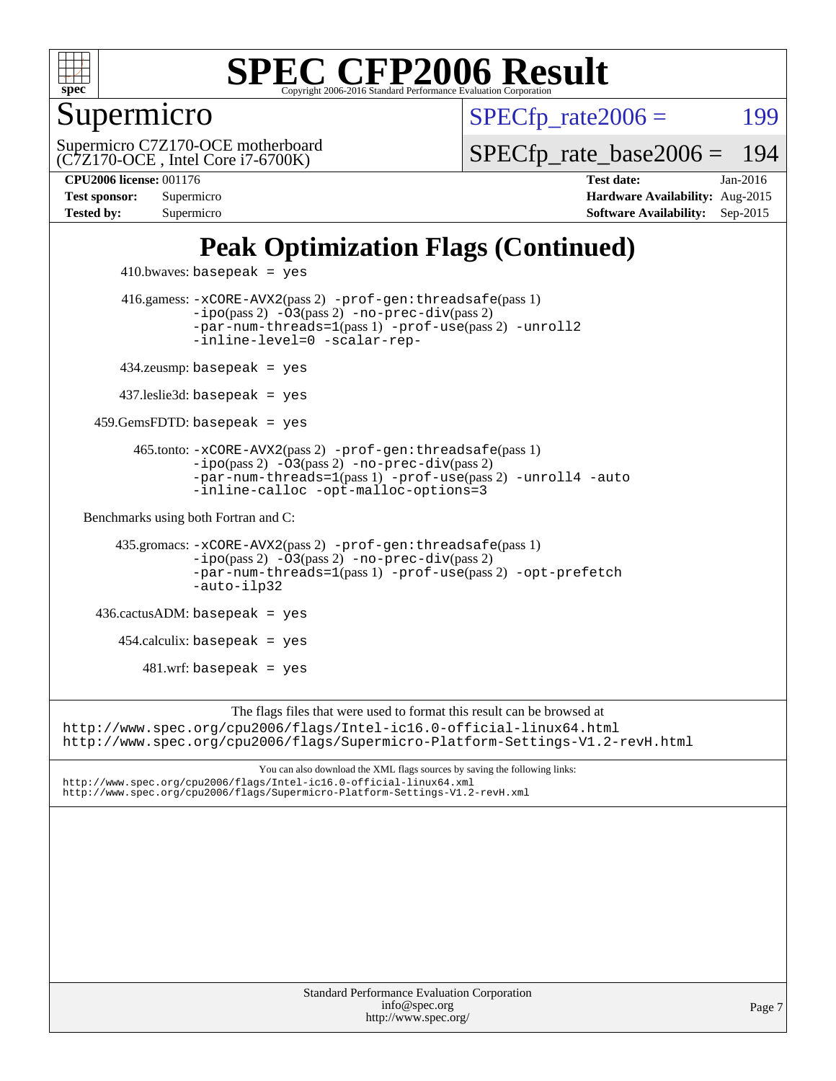

Supermicro

 $SPECTp\_rate2006 = 199$ 

(C7Z170-OCE , Intel Core i7-6700K) Supermicro C7Z170-OCE motherboard [SPECfp\\_rate\\_base2006 =](http://www.spec.org/auto/cpu2006/Docs/result-fields.html#SPECfpratebase2006) 194

**[CPU2006 license:](http://www.spec.org/auto/cpu2006/Docs/result-fields.html#CPU2006license)** 001176 **[Test date:](http://www.spec.org/auto/cpu2006/Docs/result-fields.html#Testdate)** Jan-2016 **[Test sponsor:](http://www.spec.org/auto/cpu2006/Docs/result-fields.html#Testsponsor)** Supermicro **[Hardware Availability:](http://www.spec.org/auto/cpu2006/Docs/result-fields.html#HardwareAvailability)** Aug-2015 **[Tested by:](http://www.spec.org/auto/cpu2006/Docs/result-fields.html#Testedby)** Supermicro **Supermicro [Software Availability:](http://www.spec.org/auto/cpu2006/Docs/result-fields.html#SoftwareAvailability)** Sep-2015

### **[Peak Optimization Flags \(Continued\)](http://www.spec.org/auto/cpu2006/Docs/result-fields.html#PeakOptimizationFlags)**

```
410.bwaves: basepeak = yes 416.gamess: -xCORE-AVX2(pass 2) -prof-gen:threadsafe(pass 1)
                  -i\text{po}(pass 2) -03(pass 2)-no-prec-div(pass 2)
                  -par-num-threads=1(pass 1) -prof-use(pass 2) -unroll2
                  -inline-level=0 -scalar-rep-
         434.zeusmp: basepeak = yes
        437.leslie3d: basepeak = yes
     459.GemsFDTD: basepeak = yes
           465.tonto: -xCORE-AVX2(pass 2) -prof-gen:threadsafe(pass 1)
                  -no-prec-div(pass 2)-par-num-threads=1(pass 1) -prof-use(pass 2) -unroll4 -auto
                  -inline-calloc -opt-malloc-options=3
   Benchmarks using both Fortran and C: 
        435.gromacs: -xCORE-AVX2(pass 2) -prof-gen:threadsafe(pass 1)
                  -i\text{po}(pass 2) -03(pass 2)-no-prec-div(pass 2)
                  -par-num-threads=1(pass 1) -prof-use(pass 2) -opt-prefetch
                  -auto-ilp32
     436.cactusADM: basepeak = yes
       454.calculix: basepeak = yes
           481.wrf: basepeak = yes
                       The flags files that were used to format this result can be browsed at
http://www.spec.org/cpu2006/flags/Intel-ic16.0-official-linux64.html
http://www.spec.org/cpu2006/flags/Supermicro-Platform-Settings-V1.2-revH.html
```
You can also download the XML flags sources by saving the following links: <http://www.spec.org/cpu2006/flags/Intel-ic16.0-official-linux64.xml> <http://www.spec.org/cpu2006/flags/Supermicro-Platform-Settings-V1.2-revH.xml>